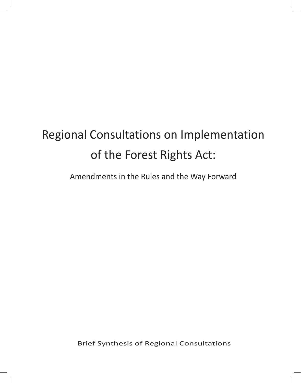# Regional Consultations on Implementation of the Forest Rights Act:

Amendments in the Rules and the Way Forward

Brief Synthesis of Regional Consultations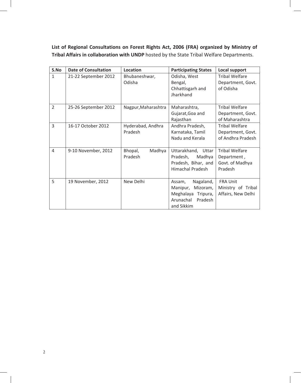**List of Regional Consultations on Forest Rights Act, 2006 (FRA) organized by Ministry of Tribal Affairs in collaboration with UNDP** hosted by the State Tribal Welfare Departments.

| S.No           | <b>Date of Consultation</b> | Location                     | <b>Participating States</b>                                                                             | Local support                                                      |
|----------------|-----------------------------|------------------------------|---------------------------------------------------------------------------------------------------------|--------------------------------------------------------------------|
| $\mathbf{1}$   | 21-22 September 2012        | Bhubaneshwar,<br>Odisha      | Odisha, West<br>Bengal,<br>Chhattisgarh and<br>Jharkhand                                                | <b>Tribal Welfare</b><br>Department, Govt.<br>of Odisha            |
| $\overline{2}$ | 25-26 September 2012        | Nagpur, Maharashtra          | Maharashtra,<br>Gujarat, Goa and<br>Rajasthan                                                           | <b>Tribal Welfare</b><br>Department, Govt.<br>of Maharashtra       |
| $\overline{3}$ | 16-17 October 2012          | Hyderabad, Andhra<br>Pradesh | Andhra Pradesh,<br>Karnataka, Tamil<br>Nadu and Kerala                                                  | <b>Tribal Welfare</b><br>Department, Govt.<br>of Andhra Pradesh    |
| 4              | 9-10 November, 2012         | Bhopal,<br>Madhya<br>Pradesh | Uttarakhand, Uttar<br>Pradesh,<br>Madhya<br>Pradesh, Bihar, and<br><b>Himachal Pradesh</b>              | <b>Tribal Welfare</b><br>Department,<br>Govt. of Madhya<br>Pradesh |
| 5              | 19 November, 2012           | New Delhi                    | Nagaland,<br>Assam,<br>Manipur,<br>Mizoram,<br>Meghalaya Tripura,<br>Arunachal<br>Pradesh<br>and Sikkim | <b>FRA Unit</b><br>Ministry of Tribal<br>Affairs, New Delhi        |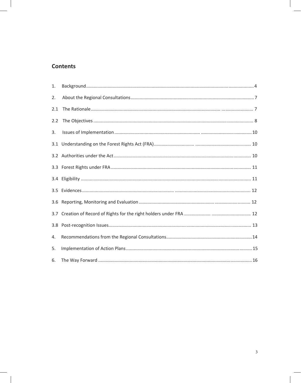# **Contents**

| 1.  |  |
|-----|--|
| 2.  |  |
| 2.1 |  |
| 2.2 |  |
| 3.  |  |
| 3.1 |  |
|     |  |
|     |  |
|     |  |
| 3.5 |  |
| 3.6 |  |
|     |  |
| 3.8 |  |
| 4.  |  |
| 5.  |  |
| 6.  |  |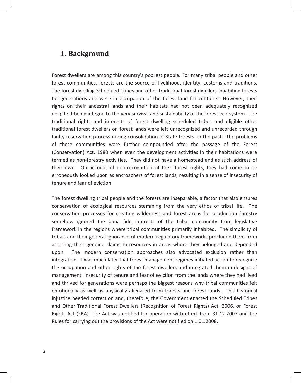### **1. Background**

Forest dwellers are among this country's poorest people. For many tribal people and other forest communities, forests are the source of livelihood, identity, customs and traditions. The forest dwelling Scheduled Tribes and other traditional forest dwellers inhabiting forests for generations and were in occupation of the forest land for centuries. However, their rights on their ancestral lands and their habitats had not been adequately recognized despite it being integral to the very survival and sustainability of the forest eco-system. The traditional rights and interests of forest dwelling scheduled tribes and eligible other traditional forest dwellers on forest lands were left unrecognized and unrecorded through faulty reservation process during consolidation of State forests, in the past. The problems of these communities were further compounded after the passage of the Forest (Conservation) Act, 1980 when even the development activities in their habitations were termed as non-forestry activities. They did not have a homestead and as such address of their own. On account of non-recognition of their forest rights, they had come to be erroneously looked upon as encroachers of forest lands, resulting in a sense of insecurity of tenure and fear of eviction.

The forest dwelling tribal people and the forests are inseparable, a factor that also ensures conservation of ecological resources stemming from the very ethos of tribal life. The conservation processes for creating wilderness and forest areas for production forestry somehow ignored the bona fide interests of the tribal community from legislative framework in the regions where tribal communities primarily inhabited. The simplicity of tribals and their general ignorance of modern regulatory frameworks precluded them from asserting their genuine claims to resources in areas where they belonged and depended upon. The modern conservation approaches also advocated exclusion rather than integration. It was much later that forest management regimes initiated action to recognize the occupation and other rights of the forest dwellers and integrated them in designs of management. Insecurity of tenure and fear of eviction from the lands where they had lived and thrived for generations were perhaps the biggest reasons why tribal communities felt emotionally as well as physically alienated from forests and forest lands. This historical injustice needed correction and, therefore, the Government enacted the Scheduled Tribes and Other Traditional Forest Dwellers (Recognition of Forest Rights) Act, 2006, or Forest Rights Act (FRA). The Act was notified for operation with effect from 31.12.2007 and the Rules for carrying out the provisions of the Act were notified on 1.01.2008.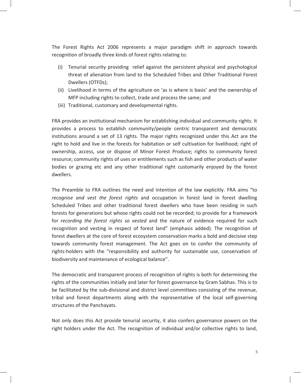The Forest Rights Act 2006 represents a major paradigm shift in approach towards recognition of broadly three kinds of forest rights relating to:

- (i) Tenurial security providing relief against the persistent physical and psychological threat of alienation from land to the Scheduled Tribes and Other Traditional Forest Dwellers (OTFDs);
- (ii) Livelihood in terms of the agriculture on 'as is where is basis' and the ownership of MFP including rights to collect, trade and process the same; and
- (iii) Traditional, customary and developmental rights.

FRA provides an institutional mechanism for establishing individual and community rights. It provides a process to establish community/people centric transparent and democratic institutions around a set of 13 rights. The major rights recognized under this Act are the right to hold and live in the forests for habitation or self cultivation for livelihood; right of ownership, access, use or dispose of Minor Forest Produce; rights to community forest resource; community rights of uses or entitlements such as fish and other products of water bodies or grazing etc and any other traditional right customarily enjoyed by the forest dwellers.

The Preamble to FRA outlines the need and intention of the law explicitly. FRA aims "to *recognise and vest the forest rights* and occupation in forest land in forest dwelling Scheduled Tribes and other traditional forest dwellers who have been residing in such forests for generations but whose rights could not be recorded; to provide for a framework for *recording the forest rights so vested* and the nature of evidence required for such recognition and vesting in respect of forest land" (emphasis added). The recognition of forest dwellers at the core of forest ecosystem conservation marks a bold and decisive step towards community forest management. The Act goes on to confer the community of rights-holders with the "responsibility and authority for sustainable use, conservation of biodiversity and maintenance of ecological balance".

The democratic and transparent process of recognition of rights is both for determining the rights of the communities initially and later for forest governance by Gram Sabhas. This is to be facilitated by the sub-divisional and district level committees consisting of the revenue, tribal and forest departments along with the representative of the local self-governing structures of the Panchayats.

Not only does this Act provide tenurial security, it also confers governance powers on the right holders under the Act. The recognition of individual and/or collective rights to land,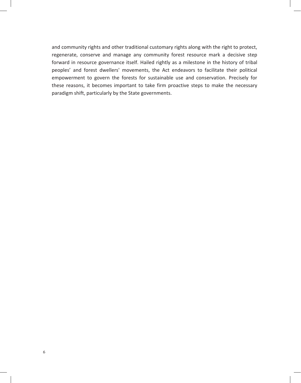and community rights and other traditional customary rights along with the right to protect, regenerate, conserve and manage any community forest resource mark a decisive step forward in resource governance itself. Hailed rightly as a milestone in the history of tribal peoples' and forest dwellers' movements, the Act endeavors to facilitate their political empowerment to govern the forests for sustainable use and conservation. Precisely for these reasons, it becomes important to take firm proactive steps to make the necessary paradigm shift, particularly by the State governments.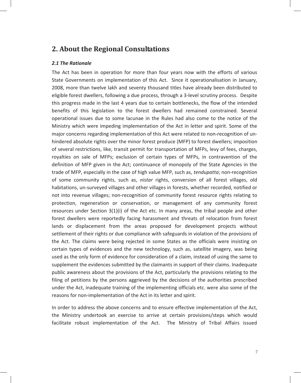## **2. About the Regional Consultations**

#### *2.1 The Rationale*

The Act has been in operation for more than four years now with the efforts of various State Governments on implementation of this Act. Since it operationalisation in January, 2008, more than twelve lakh and seventy thousand titles have already been distributed to eligible forest dwellers, following a due process, through a 3-level scrutiny process. Despite this progress made in the last 4 years due to certain bottlenecks, the flow of the intended benefits of this legislation to the forest dwellers had remained constrained. Several operational issues due to some lacunae in the Rules had also come to the notice of the Ministry which were impeding implementation of the Act in letter and spirit. Some of the major concerns regarding implementation of this Act were related to non-recognition of unhindered absolute rights over the minor forest produce (MFP) to forest dwellers; imposition of several restrictions, like, transit permit for transportation of MFPs, levy of fees, charges, royalties on sale of MFPs; exclusion of certain types of MFPs, in contravention of the definition of MFP given in the Act; continuance of monopoly of the State Agencies in the trade of MFP, especially in the case of high value MFP, such as, *tendupatta*; non-recognition of some community rights, such as, *nistar* rights, conversion of all forest villages, old habitations, un-surveyed villages and other villages in forests, whether recorded, notified or not into revenue villages; non-recognition of community forest resource rights relating to protection, regeneration or conservation, or management of any community forest resources under Section 3(1)(i) of the Act etc. In many areas, the tribal people and other forest dwellers were reportedly facing harassment and threats of relocation from forest lands or displacement from the areas proposed for development projects without settlement of their rights or due compliance with safeguards in violation of the provisions of the Act. The claims were being rejected in some States as the officials were insisting on certain types of evidences and the new technology, such as, satellite imagery, was being used as the only form of evidence for consideration of a claim, instead of using the same to supplement the evidences submitted by the claimants in support of their claims. Inadequate public awareness about the provisions of the Act, particularly the provisions relating to the filing of petitions by the persons aggrieved by the decisions of the authorities prescribed under the Act, inadequate training of the implementing officials etc. were also some of the reasons for non-implementation of the Act in its letter and spirit.

In order to address the above concerns and to ensure effective implementation of the Act, the Ministry undertook an exercise to arrive at certain provisions/steps which would facilitate robust implementation of the Act. The Ministry of Tribal Affairs issued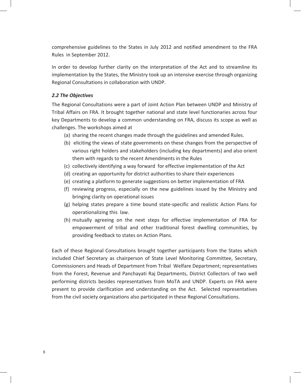comprehensive guidelines to the States in July 2012 and notified amendment to the FRA Rules in September 2012.

In order to develop further clarity on the interpretation of the Act and to streamline its implementation by the States, the Ministry took up an intensive exercise through organizing Regional Consultations in collaboration with UNDP.

#### *2.2 The Objectives*

The Regional Consultations were a part of Joint Action Plan between UNDP and Ministry of Tribal Affairs on FRA. It brought together national and state level functionaries across four key Departments to develop a common understanding on FRA, discuss its scope as well as challenges. The workshops aimed at

- (a) sharing the recent changes made through the guidelines and amended Rules.
- (b) eliciting the views of state governments on these changes from the perspective of various right holders and stakeholders (including key departments) and also orient them with regards to the recent Amendments in the Rules
- (c) collectively identifying a way forward for effective implementation of the Act
- (d) creating an opportunity for district authorities to share their experiences
- (e) creating a platform to generate suggestions on better implementation of FRA
- (f) reviewing progress, especially on the new guidelines issued by the Ministry and bringing clarity on operational issues
- (g) helping states prepare a time bound state-specific and realistic Action Plans for operationalizing this law.
- (h) mutually agreeing on the next steps for effective implementation of FRA for empowerment of tribal and other traditional forest dwelling communities, by providing feedback to states on Action Plans.

Each of these Regional Consultations brought together participants from the States which included Chief Secretary as chairperson of State Level Monitoring Committee, Secretary, Commissioners and Heads of Department from Tribal Welfare Department; representatives from the Forest, Revenue and Panchayati Raj Departments, District Collectors of two well performing districts besides representatives from MoTA and UNDP. Experts on FRA were present to provide clarification and understanding on the Act. Selected representatives from the civil society organizations also participated in these Regional Consultations.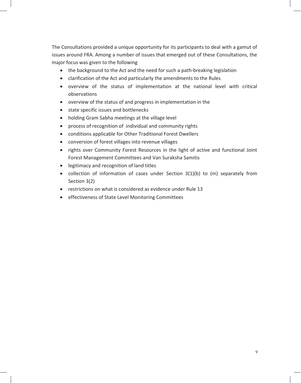The Consultations provided a unique opportunity for its participants to deal with a gamut of issues around FRA. Among a number of issues that emerged out of these Consultations, the major focus was given to the following

- the background to the Act and the need for such a path-breaking legislation
- clarification of the Act and particularly the amendments to the Rules
- overview of the status of implementation at the national level with critical observations
- overview of the status of and progress in implementation in the
- state specific issues and bottlenecks
- holding Gram Sabha meetings at the village level
- process of recognition of individual and community rights
- conditions applicable for Other Traditional Forest Dwellers
- conversion of forest villages into revenue villages
- rights over Community Forest Resources in the light of active and functional Joint Forest Management Committees and Van Suraksha Samitis
- legitimacy and recognition of land titles
- collection of information of cases under Section 3(1)(b) to (m) separately from Section 3(2)
- restrictions on what is considered as evidence under Rule 13
- effectiveness of State Level Monitoring Committees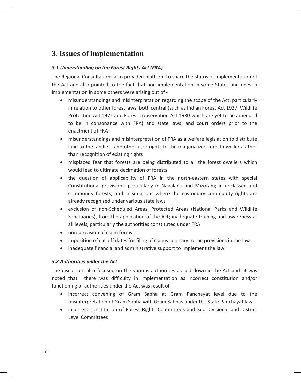# **3. Issues of Implementation**

#### *3.1 Understanding on the Forest Rights Act (FRA)*

The Regional Consultations also provided platform to share the status of implementation of the Act and also pointed to the fact that non implementation in some States and uneven implementation in some others were arising out of -

- misunderstandings and misinterpretation regarding the scope of the Act, particularly in relation to other forest laws, both central (such as Indian Forest Act 1927, Wildlife Protection Act 1972 and Forest Conservation Act 1980 which are yet to be amended to be in consonance with FRA) and state laws, and court orders prior to the enactment of FRA
- misunderstandings and misinterpretation of FRA as a welfare legislation to distribute land to the landless and other user rights to the marginalized forest dwellers rather than recognition of existing rights
- misplaced fear that forests are being distributed to all the forest dwellers which would lead to ultimate decimation of forests
- the question of applicability of FRA in the north-eastern states with special Constitutional provisions, particularly in Nagaland and Mizoram; in unclassed and community forests, and in situations where the customary community rights are already recognized under various state laws
- exclusion of non-Scheduled Areas, Protected Areas (National Parks and Wildlife Sanctuaries), from the application of the Act; inadequate training and awareness at all levels, particularly the authorities constituted under FRA
- non-provision of claim forms
- imposition of cut-off dates for filing of claims contrary to the provisions in the law
- inadequate financial and administrative support to implement the law

#### *3.2 Authorities under the Act*

The discussion also focused on the various authorities as laid down in the Act and it was noted that there was difficulty in implementation as incorrect constitution and/or functioning of authorities under the Act was result of

- incorrect convening of Gram Sabha at Gram Panchayat level due to the misinterpretation of Gram Sabha with Gram Sabhas under the State Panchayat law
- incorrect constitution of Forest Rights Committees and Sub-Divisional and District Level Committees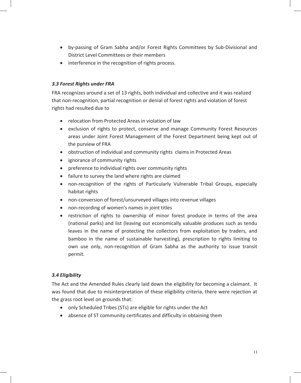- by-passing of Gram Sabha and/or Forest Rights Committees by Sub-Divisional and District Level Committees or their members
- interference in the recognition of rights process.

#### *3.3 Forest Rights under FRA*

FRA recognizes around a set of 13 rights, both individual and collective and it was realized that non-recognition, partial recognition or denial of forest rights and violation of forest rights had resulted due to

- relocation from Protected Areas in violation of law
- exclusion of rights to protect, conserve and manage Community Forest Resources areas under Joint Forest Management of the Forest Department being kept out of the purview of FRA
- obstruction of individual and community rights claims in Protected Areas
- ignorance of community rights
- preference to individual rights over community rights
- failure to survey the land where rights are claimed
- non-recognition of the rights of Particularly Vulnerable Tribal Groups, especially habitat rights
- non-conversion of forest/unsurveyed villages into revenue villages
- non-recording of women's names in joint titles
- restriction of rights to ownership of minor forest produce in terms of the area (national parks) and list (leaving out economically valuable produces such as tendu leaves in the name of protecting the collectors from exploitation by traders, and bamboo in the name of sustainable harvesting), prescription to rights limiting to own use only, non-recognition of Gram Sabha as the authority to issue transit permit.

#### *3.4 Eligibility*

The Act and the Amended Rules clearly laid down the eligibility for becoming a claimant. It was found that due to misinterpretation of these eligibility criteria, there were rejection at the grass root level on grounds that:

- only Scheduled Tribes (STs) are eligible for rights under the Act
- absence of ST community certificates and difficulty in obtaining them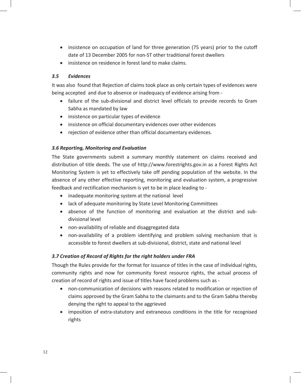- insistence on occupation of land for three generation (75 years) prior to the cutoff date of 13 December 2005 for non-ST other traditional forest dwellers
- insistence on residence in forest land to make claims.

#### *3.5 Evidences*

It was also found that Rejection of claims took place as only certain types of evidences were being accepted and due to absence or inadequacy of evidence arising from -

- failure of the sub-divisional and district level officials to provide records to Gram Sabha as mandated by law
- insistence on particular types of evidence
- insistence on official documentary evidences over other evidences
- rejection of evidence other than official documentary evidences.

#### *3.6 Reporting, Monitoring and Evaluation*

The State governments submit a summary monthly statement on claims received and distribution of title deeds. The use of http://www.forestrights.gov.in as a Forest Rights Act Monitoring System is yet to effectively take off pending population of the website. In the absence of any other effective reporting, monitoring and evaluation system, a progressive feedback and rectification mechanism is yet to be in place leading to -

- inadequate monitoring system at the national level
- lack of adequate monitoring by State Level Monitoring Committees
- absence of the function of monitoring and evaluation at the district and subdivisional level
- non-availability of reliable and disaggregated data
- non-availability of a problem identifying and problem solving mechanism that is accessible to forest dwellers at sub-divisional, district, state and national level

#### *3.7 Creation of Record of Rights for the right holders under FRA*

Though the Rules provide for the format for issuance of titles in the case of individual rights, community rights and now for community forest resource rights, the actual process of creation of record of rights and issue of titles have faced problems such as -

- non-communication of decisions with reasons related to modification or rejection of claims approved by the Gram Sabha to the claimants and to the Gram Sabha thereby denying the right to appeal to the aggrieved
- imposition of extra-statutory and extraneous conditions in the title for recognised rights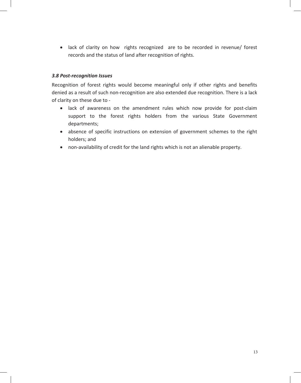• lack of clarity on how rights recognized are to be recorded in revenue/ forest records and the status of land after recognition of rights.

#### *3.8 Post-recognition Issues*

Recognition of forest rights would become meaningful only if other rights and benefits denied as a result of such non-recognition are also extended due recognition. There is a lack of clarity on these due to -

- lack of awareness on the amendment rules which now provide for post-claim support to the forest rights holders from the various State Government departments;
- absence of specific instructions on extension of government schemes to the right holders; and
- non-availability of credit for the land rights which is not an alienable property.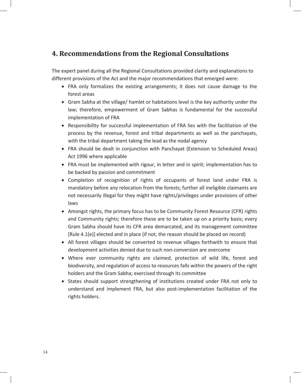# **4. Recommendations from the Regional Consultations**

The expert panel during all the Regional Consultations provided clarity and explanations to different provisions of the Act and the major recommendations that emerged were:

- FRA only formalizes the existing arrangements; it does not cause damage to the forest areas
- Gram Sabha at the village/ hamlet or habitations level is the key authority under the law; therefore, empowerment of Gram Sabhas is fundamental for the successful implementation of FRA
- Responsibility for successful implementation of FRA lies with the facilitation of the process by the revenue, forest and tribal departments as well as the panchayats, with the tribal department taking the lead as the nodal agency
- FRA should be dealt in conjunction with Panchayat (Extension to Scheduled Areas) Act 1996 where applicable
- FRA must be implemented with rigour, in letter and in spirit; implementation has to be backed by passion and commitment
- Completion of recognition of rights of occupants of forest land under FRA is mandatory before any relocation from the forests; further all ineligible claimants are not necessarily illegal for they might have rights/privileges under provisions of other laws
- Amongst rights, the primary focus has to be Community Forest Resource (CFR) rights and Community rights; therefore these are to be taken up on a priority basis; every Gram Sabha should have its CFR area demarcated, and its management committee [Rule 4.1(e)] elected and in place (if not, the reason should be placed on record)
- All forest villages should be converted to revenue villages forthwith to ensure that development activities denied due to such non-conversion are overcome
- Where ever community rights are claimed, protection of wild life, forest and biodiversity, and regulation of access to resources falls within the powers of the right holders and the Gram Sabha; exercised through its committee
- States should support strengthening of institutions created under FRA not only to understand and implement FRA, but also post-implementation facilitation of the rights holders.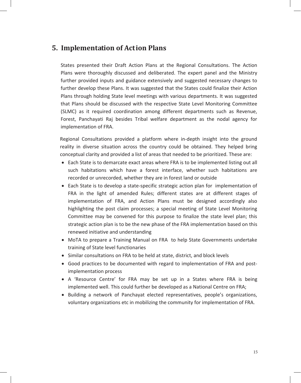## **5. Implementation of Action Plans**

States presented their Draft Action Plans at the Regional Consultations. The Action Plans were thoroughly discussed and deliberated. The expert panel and the Ministry further provided inputs and guidance extensively and suggested necessary changes to further develop these Plans. It was suggested that the States could finalize their Action Plans through holding State level meetings with various departments. It was suggested that Plans should be discussed with the respective State Level Monitoring Committee (SLMC) as it required coordination among different departments such as Revenue, Forest, Panchayati Raj besides Tribal welfare department as the nodal agency for implementation of FRA.

Regional Consultations provided a platform where in-depth insight into the ground reality in diverse situation across the country could be obtained. They helped bring conceptual clarity and provided a list of areas that needed to be prioritized. These are:

- Each State is to demarcate exact areas where FRA is to be implemented listing out all such habitations which have a forest interface, whether such habitations are recorded or unrecorded, whether they are in forest land or outside
- Each State is to develop a state-specific strategic action plan for implementation of FRA in the light of amended Rules; different states are at different stages of implementation of FRA, and Action Plans must be designed accordingly also highlighting the post claim processes; a special meeting of State Level Monitoring Committee may be convened for this purpose to finalize the state level plan; this strategic action plan is to be the new phase of the FRA implementation based on this renewed initiative and understanding
- MoTA to prepare a Training Manual on FRA to help State Governments undertake training of State level functionaries
- Similar consultations on FRA to be held at state, district, and block levels
- Good practices to be documented with regard to implementation of FRA and postimplementation process
- A 'Resource Centre' for FRA may be set up in a States where FRA is being implemented well. This could further be developed as a National Centre on FRA;
- Building a network of Panchayat elected representatives, people's organizations, voluntary organizations etc in mobilizing the community for implementation of FRA.